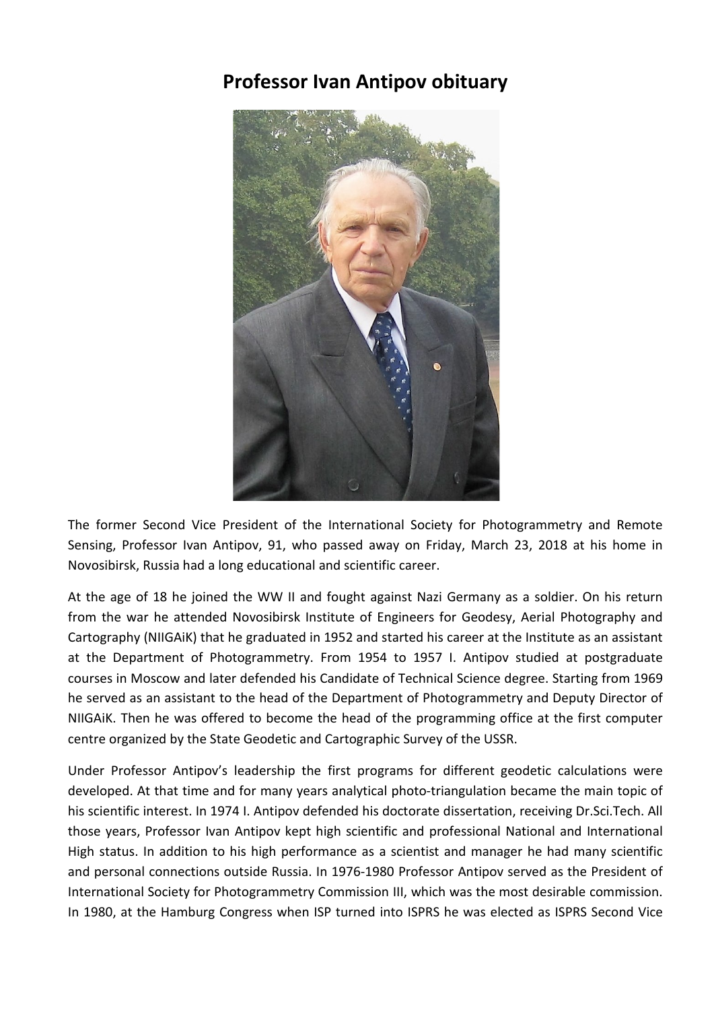## **Professor Ivan Antipov obituary**



The former Second Vice President of the International Society for Photogrammetry and Remote Sensing, Professor Ivan Antipov, 91, who passed away on Friday, March 23, 2018 at his home in Novosibirsk, Russia had a long educational and scientific career.

At the age of 18 he joined the WW II and fought against Nazi Germany as a soldier. On his return from the war he attended Novosibirsk Institute of Engineers for Geodesy, Aerial Photography and Cartography (NIIGAiK) that he graduated in 1952 and started his career at the Institute as an assistant at the Department of Photogrammetry. From 1954 to 1957 I. Antipov studied at postgraduate courses in Moscow and later defended his Candidate of Technical Science degree. Starting from 1969 he served as an assistant to the head of the Department of Photogrammetry and Deputy Director of NIIGAiK. Then he was offered to become the head of the programming office at the first computer centre organized by the State Geodetic and Cartographic Survey of the USSR.

Under Professor Antipov's leadership the first programs for different geodetic calculations were developed. At that time and for many years analytical photo-triangulation became the main topic of his scientific interest. In 1974 I. Antipov defended his doctorate dissertation, receiving Dr.Sci.Tech. All those years, Professor Ivan Antipov kept high scientific and professional National and International High status. In addition to his high performance as a scientist and manager he had many scientific and personal connections outside Russia. In 1976-1980 Professor Antipov served as the President of International Society for Photogrammetry Commission III, which was the most desirable commission. In 1980, at the Hamburg Congress when ISP turned into ISPRS he was elected as ISPRS Second Vice